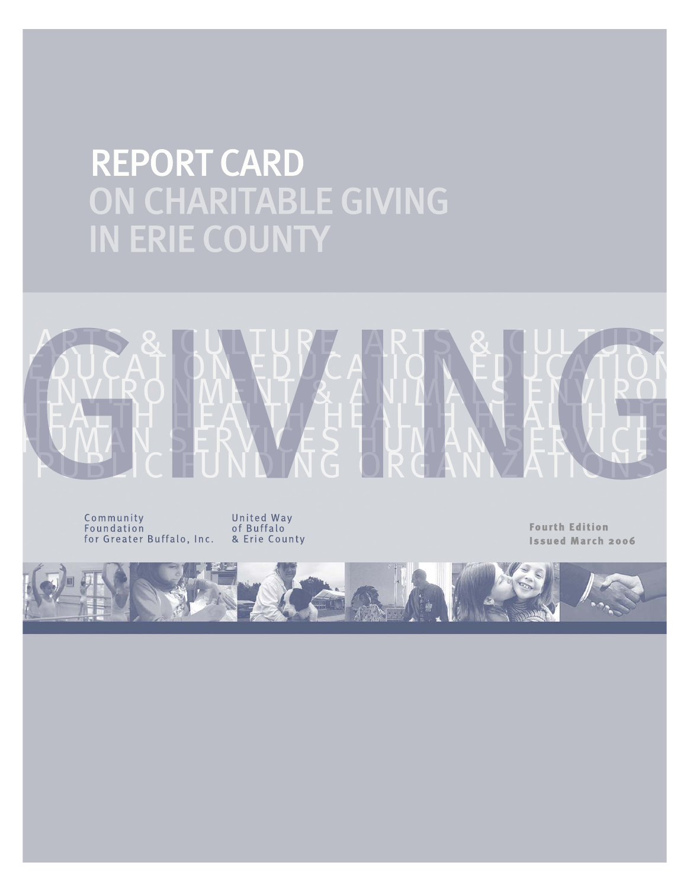## REPORT CARD ON CHARITABLE GIVING IN ERIE COUNTY

Community Foundation for Greater Buffalo, Inc.

United Way of Buffalo & Erie County

**Fourth Edition Issued March 2006** 

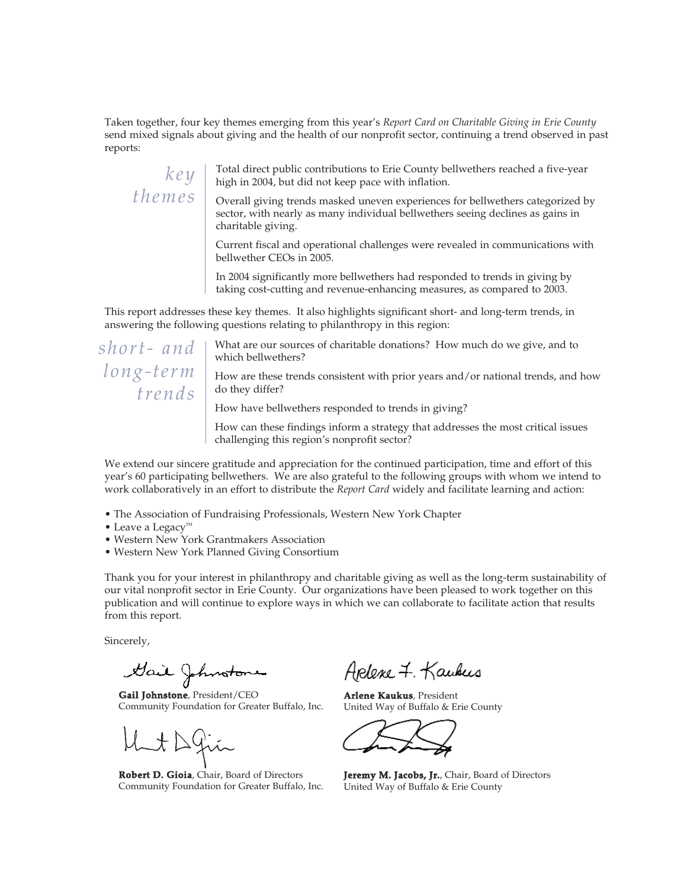*Taken together, four key themes emerging from this year's Report Card on Charitable Giving in Erie County send mixed signals about giving and the health of our nonprofit sector, continuing a trend observed in past reports:* 

*key themes*

*Total direct public contributions to Erie County bellwethers reached a five-year high in 2004, but did not keep pace with inflation.* 

*Overall giving trends masked uneven experiences for bellwethers categorized by sector, with nearly as many individual bellwethers seeing declines as gains in charitable giving.*

*Current fiscal and operational challenges were revealed in communications with bellwether CEOs in 2005.* 

*In 2004 significantly more bellwethers had responded to trends in giving by taking cost-cutting and revenue-enhancing measures, as compared to 2003.* 

*This report addresses these key themes. It also highlights significant short- and long-term trends, in answering the following questions relating to philanthropy in this region:*

*short- and long-term trends*

*What are our sources of charitable donations? How much do we give, and to which bellwethers?*

*How are these trends consistent with prior years and/or national trends, and how do they differ?* 

*How have bellwethers responded to trends in giving?* 

*How can these findings inform a strategy that addresses the most critical issues challenging this region's nonprofit sector?* 

*We extend our sincere gratitude and appreciation for the continued participation, time and effort of this year's 60 participating bellwethers. We are also grateful to the following groups with whom we intend to work collaboratively in an effort to distribute the Report Card widely and facilitate learning and action:* 

- *The Association of Fundraising Professionals, Western New York Chapter*
- Leave a Legacy<sup>™</sup>
- *Western New York Grantmakers Association*
- *Western New York Planned Giving Consortium*

*Thank you for your interest in philanthropy and charitable giving as well as the long-term sustainability of our vital nonprofit sector in Erie County. Our organizations have been pleased to work together on this publication and will continue to explore ways in which we can collaborate to facilitate action that results from this report.* 

*Sincerely,* 

Gail Johnstone

*Gail Johnstone, President/CEO Community Foundation for Greater Buffalo, Inc.*

*Robert D. Gioia, Chair, Board of Directors Community Foundation for Greater Buffalo, Inc.*

Aplene 7. Kaukus

*Arlene Kaukus, President United Way of Buffalo & Erie County*

*Jeremy M. Jacobs, Jr., Chair, Board of Directors United Way of Buffalo & Erie County*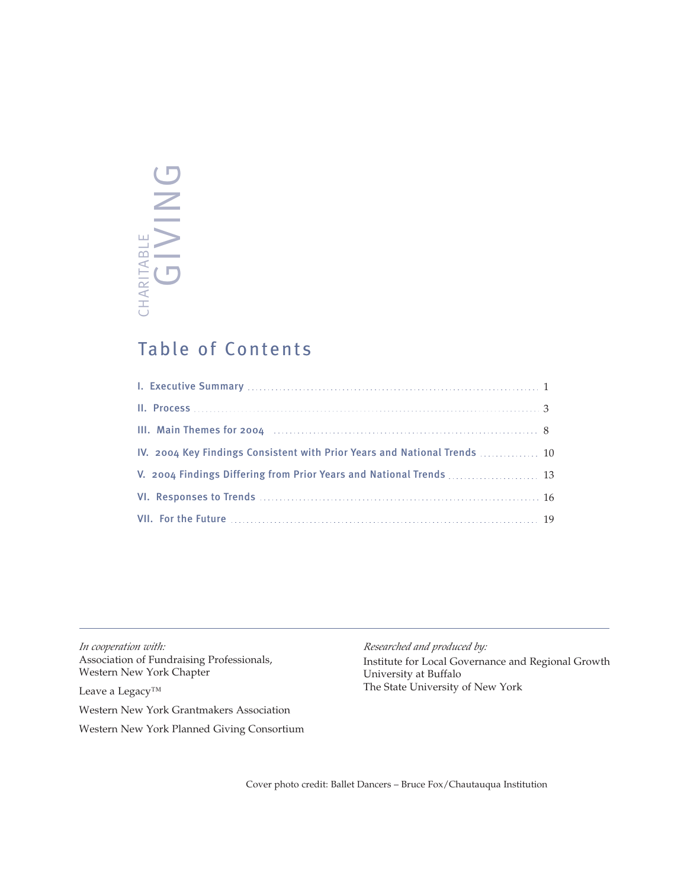# CHARITABLE<br>GIVING CHARITABLE

## Table of Contents

| III. Main Themes for 2004 <b>Marshall</b> 11. Main Themes for 2004 <b>Marshall</b> 11. |  |
|----------------------------------------------------------------------------------------|--|
| IV. 2004 Key Findings Consistent with Prior Years and National Trends  10              |  |
| V. 2004 Findings Differing from Prior Years and National Trends  13                    |  |
|                                                                                        |  |
|                                                                                        |  |

*In cooperation with: Association of Fundraising Professionals, Western New York Chapter*

*Leave a Legacy™*

*Western New York Grantmakers Association Western New York Planned Giving Consortium*

#### *Researched and produced by:*

*Institute for Local Governance and Regional Growth University at Buffalo The State University of New York* 

*Cover photo credit: Ballet Dancers – Bruce Fox/Chautauqua Institution*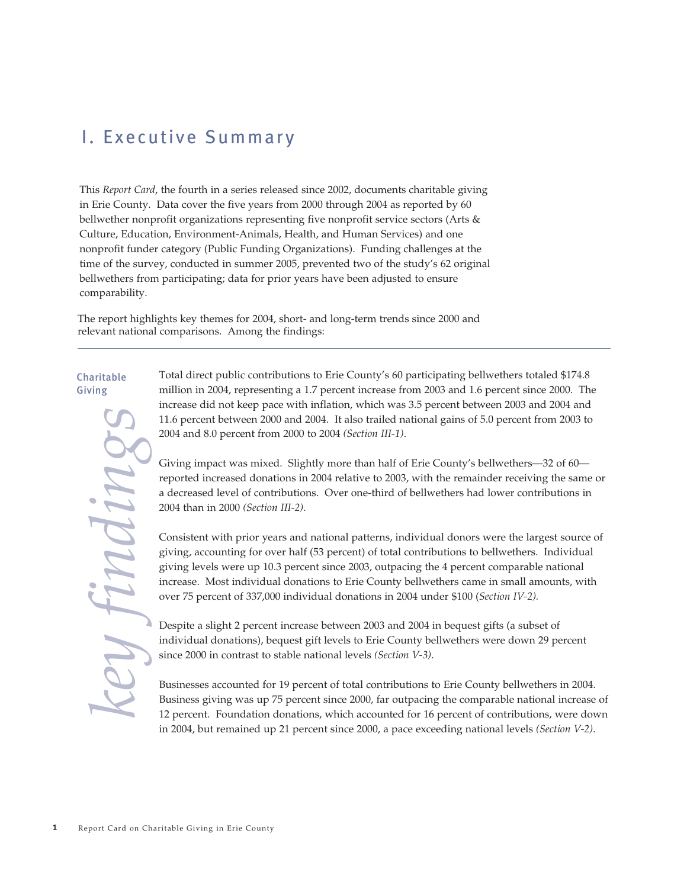## I. Executive Summary

*This Report Card, the fourth in a series released since 2002, documents charitable giving in Erie County. Data cover the five years from 2000 through 2004 as reported by 60 bellwether nonprofit organizations representing five nonprofit service sectors (Arts & Culture, Education, Environment-Animals, Health, and Human Services) and one nonprofit funder category (Public Funding Organizations). Funding challenges at the time of the survey, conducted in summer 2005, prevented two of the study's 62 original bellwethers from participating; data for prior years have been adjusted to ensure comparability.* 

*The report highlights key themes for 2004, short- and long-term trends since 2000 and relevant national comparisons. Among the findings:*

#### Charitable Giving

*key findings*

*Total direct public contributions to Erie County's 60 participating bellwethers totaled \$174.8 million in 2004, representing a 1.7 percent increase from 2003 and 1.6 percent since 2000. The increase did not keep pace with inflation, which was 3.5 percent between 2003 and 2004 and 11.6 percent between 2000 and 2004. It also trailed national gains of 5.0 percent from 2003 to 2004 and 8.0 percent from 2000 to 2004 (Section III-1).*

*Giving impact was mixed. Slightly more than half of Erie County's bellwethers—32 of 60 reported increased donations in 2004 relative to 2003, with the remainder receiving the same or a decreased level of contributions. Over one-third of bellwethers had lower contributions in 2004 than in 2000 (Section III-2).* 

*Consistent with prior years and national patterns, individual donors were the largest source of giving, accounting for over half (53 percent) of total contributions to bellwethers. Individual giving levels were up 10.3 percent since 2003, outpacing the 4 percent comparable national increase. Most individual donations to Erie County bellwethers came in small amounts, with over 75 percent of 337,000 individual donations in 2004 under \$100 (Section IV-2).*

*Despite a slight 2 percent increase between 2003 and 2004 in bequest gifts (a subset of individual donations), bequest gift levels to Erie County bellwethers were down 29 percent since 2000 in contrast to stable national levels (Section V-3).* 

*Businesses accounted for 19 percent of total contributions to Erie County bellwethers in 2004. Business giving was up 75 percent since 2000, far outpacing the comparable national increase of 12 percent. Foundation donations, which accounted for 16 percent of contributions, were down in 2004, but remained up 21 percent since 2000, a pace exceeding national levels (Section V-2)*.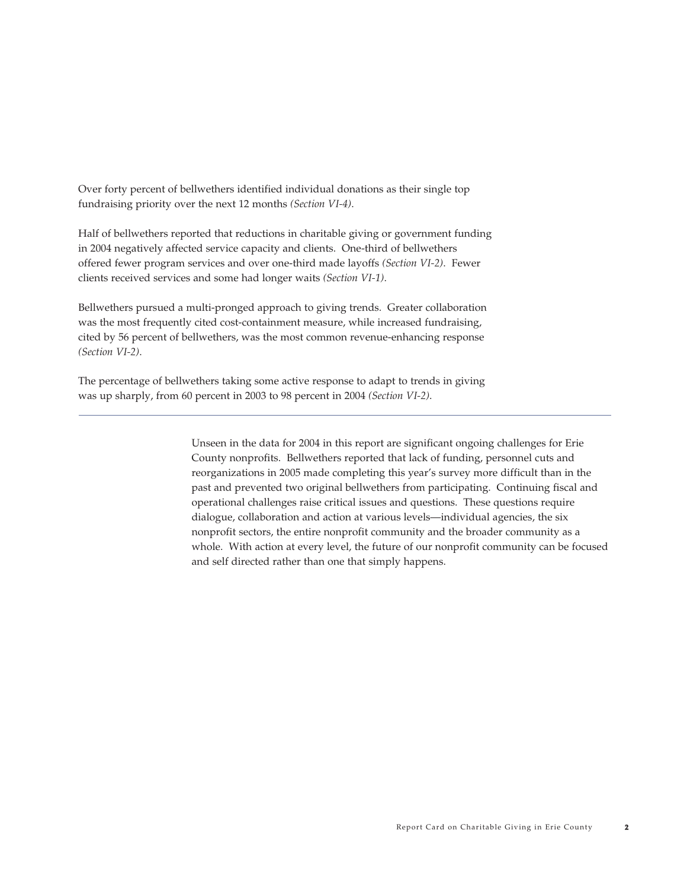*Over forty percent of bellwethers identified individual donations as their single top fundraising priority over the next 12 months (Section VI-4).* 

*Half of bellwethers reported that reductions in charitable giving or government funding in 2004 negatively affected service capacity and clients. One-third of bellwethers offered fewer program services and over one-third made layoffs (Section VI-2). Fewer clients received services and some had longer waits (Section VI-1).* 

*Bellwethers pursued a multi-pronged approach to giving trends. Greater collaboration was the most frequently cited cost-containment measure, while increased fundraising, cited by 56 percent of bellwethers, was the most common revenue-enhancing response (Section VI-2).*

*The percentage of bellwethers taking some active response to adapt to trends in giving was up sharply, from 60 percent in 2003 to 98 percent in 2004 (Section VI-2)*.

> *Unseen in the data for 2004 in this report are significant ongoing challenges for Erie County nonprofits. Bellwethers reported that lack of funding, personnel cuts and reorganizations in 2005 made completing this year's survey more difficult than in the past and prevented two original bellwethers from participating. Continuing fiscal and operational challenges raise critical issues and questions. These questions require dialogue, collaboration and action at various levels—individual agencies, the six nonprofit sectors, the entire nonprofit community and the broader community as a whole. With action at every level, the future of our nonprofit community can be focused and self directed rather than one that simply happens.*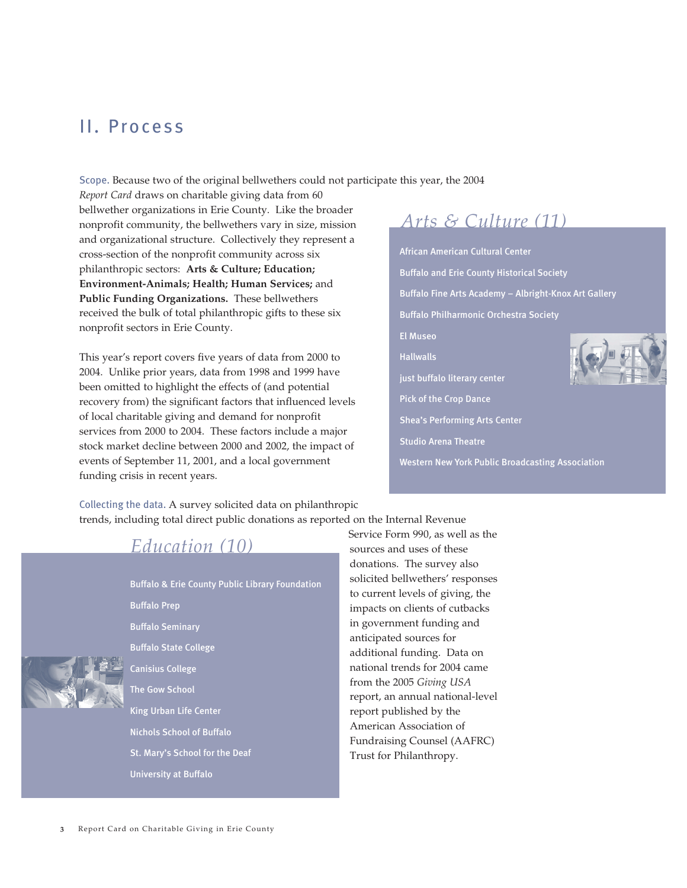## II. Process

Scope. *Because two of the original bellwethers could not participate this year, the 2004*

*Report Card draws on charitable giving data from 60 bellwether organizations in Erie County. Like the broader nonprofit community, the bellwethers vary in size, mission and organizational structure. Collectively they represent a cross-section of the nonprofit community across six philanthropic sectors: Arts & Culture; Education; Environment-Animals; Health; Human Services; and Public Funding Organizations. These bellwethers received the bulk of total philanthropic gifts to these six nonprofit sectors in Erie County.* 

*This year's report covers five years of data from 2000 to 2004. Unlike prior years, data from 1998 and 1999 have been omitted to highlight the effects of (and potential recovery from) the significant factors that influenced levels of local charitable giving and demand for nonprofit services from 2000 to 2004. These factors include a major stock market decline between 2000 and 2002, the impact of events of September 11, 2001, and a local government funding crisis in recent years.*

## *Arts & Culture (11)*

African American Cultural Center Buffalo and Erie County Historical Society Buffalo Fine Arts Academy – Albright-Knox Art Gallery Buffalo Philharmonic Orchestra Society El Museo Hallwalls just buffalo literary center Pick of the Crop Dance Shea's Performing Arts Center Studio Arena Theatre

Western New York Public Broadcasting Association

Collecting the data. *A survey solicited data on philanthropic trends, including total direct public donations as reported on the Internal Revenue*

## *Education (10)*

Buffalo & Erie County Public Library Foundation Buffalo Prep Buffalo Seminary Buffalo State College Canisius College The Gow School King Urban Life Center Nichols School of Buffalo St. Mary's School for the Deaf University at Buffalo

*Service Form 990, as well as the sources and uses of these donations. The survey also solicited bellwethers' responses to current levels of giving, the impacts on clients of cutbacks in government funding and anticipated sources for additional funding. Data on national trends for 2004 came from the 2005 Giving USA report, an annual national-level report published by the American Association of Fundraising Counsel (AAFRC) Trust for Philanthropy.*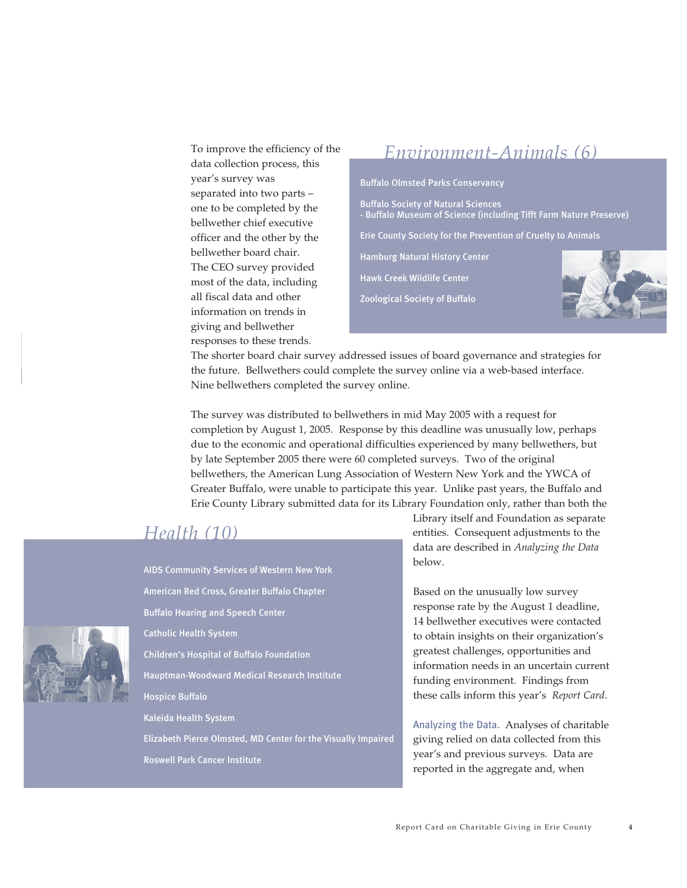*To improve the efficiency of the data collection process, this year's survey was separated into two parts – one to be completed by the bellwether chief executive officer and the other by the bellwether board chair. The CEO survey provided most of the data, including all fiscal data and other information on trends in giving and bellwether responses to these trends.*

## Buffalo Olmsted Parks Conservancy Buffalo Society of Natural Sciences - Buffalo Museum of Science (including Tifft Farm Nature Preserve) Erie County Society for the Prevention of Cruelty to Animals Hamburg Natural History Center Hawk Creek Wildlife Center Zoological Society of Buffalo *Environment-Animals (6)*

*The shorter board chair survey addressed issues of board governance and strategies for the future. Bellwethers could complete the survey online via a web-based interface. Nine bellwethers completed the survey online.* 

*The survey was distributed to bellwethers in mid May 2005 with a request for completion by August 1, 2005. Response by this deadline was unusually low, perhaps due to the economic and operational difficulties experienced by many bellwethers, but by late September 2005 there were 60 completed surveys. Two of the original bellwethers, the American Lung Association of Western New York and the YWCA of Greater Buffalo, were unable to participate this year. Unlike past years, the Buffalo and Erie County Library submitted data for its Library Foundation only, rather than both the*

### *Health (10)*

AIDS Community Services of Western New York American Red Cross, Greater Buffalo Chapter Buffalo Hearing and Speech Center Catholic Health System Children's Hospital of Buffalo Foundation Hauptman-Woodward Medical Research Institute Hospice Buffalo Kaleida Health System Elizabeth Pierce Olmsted, MD Center for the Visually Impaired Roswell Park Cancer Institute

*Library itself and Foundation as separate entities. Consequent adjustments to the data are described in Analyzing the Data below.* 

*Based on the unusually low survey response rate by the August 1 deadline, 14 bellwether executives were contacted to obtain insights on their organization's greatest challenges, opportunities and information needs in an uncertain current funding environment. Findings from these calls inform this year's Report Card.* 

Analyzing the Data. *Analyses of charitable giving relied on data collected from this year's and previous surveys. Data are reported in the aggregate and, when*

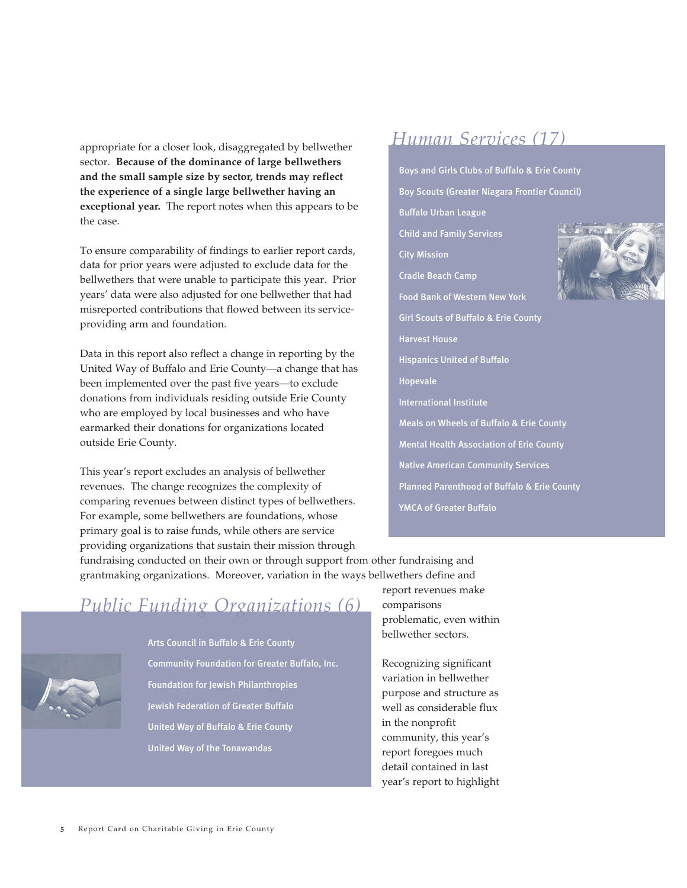*appropriate for a closer look, disaggregated by bellwether sector. Because of the dominance of large bellwethers and the small sample size by sector, trends may reflect the experience of a single large bellwether having an exceptional year. The report notes when this appears to be the case.* 

*To ensure comparability of findings to earlier report cards, data for prior years were adjusted to exclude data for the bellwethers that were unable to participate this year. Prior years' data were also adjusted for one bellwether that had misreported contributions that flowed between its serviceproviding arm and foundation.* 

*Data in this report also reflect a change in reporting by the United Way of Buffalo and Erie County—a change that has been implemented over the past five years—to exclude donations from individuals residing outside Erie County who are employed by local businesses and who have earmarked their donations for organizations located outside Erie County.* 

*This year's report excludes an analysis of bellwether revenues. The change recognizes the complexity of comparing revenues between distinct types of bellwethers. For example, some bellwethers are foundations, whose primary goal is to raise funds, while others are service providing organizations that sustain their mission through*

## *Human Services (17)*

Boys and Girls Clubs of Buffalo & Erie County Boy Scouts (Greater Niagara Frontier Council) Buffalo Urban League Child and Family Services City Mission Cradle Beach Camp Food Bank of Western New York Girl Scouts of Buffalo & Erie County Harvest House Hispanics United of Buffalo Hopevale International Institute Meals on Wheels of Buffalo & Erie County Mental Health Association of Erie County Native American Community Services Planned Parenthood of Buffalo & Erie County YMCA of Greater Buffalo

*fundraising conducted on their own or through support from other fundraising and grantmaking organizations. Moreover, variation in the ways bellwethers define and*

## *Public Funding Organizations (6)*



Arts Council in Buffalo & Erie County Community Foundation for Greater Buffalo, Inc. Foundation for Jewish Philanthropies Jewish Federation of Greater Buffalo United Way of Buffalo & Erie County United Way of the Tonawandas

*report revenues make comparisons problematic, even within bellwether sectors.* 

*Recognizing significant variation in bellwether purpose and structure as well as considerable flux in the nonprofit community, this year's report foregoes much detail contained in last year's report to highlight*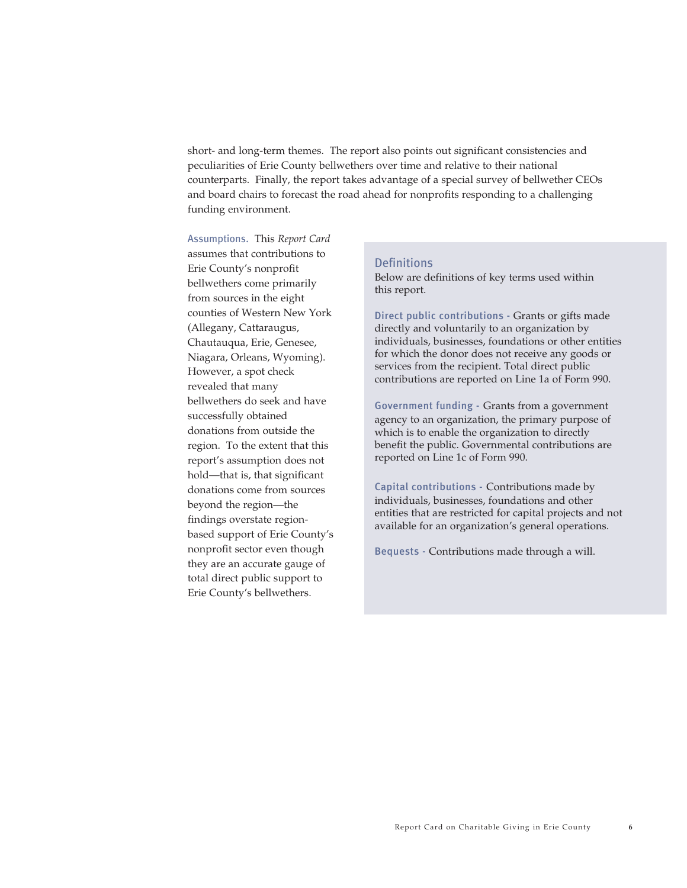*short- and long-term themes. The report also points out significant consistencies and peculiarities of Erie County bellwethers over time and relative to their national counterparts. Finally, the report takes advantage of a special survey of bellwether CEOs and board chairs to forecast the road ahead for nonprofits responding to a challenging funding environment.* 

Assumptions. *This Report Card assumes that contributions to Erie County's nonprofit bellwethers come primarily from sources in the eight counties of Western New York (Allegany, Cattaraugus, Chautauqua, Erie, Genesee, Niagara, Orleans, Wyoming). However, a spot check revealed that many bellwethers do seek and have successfully obtained donations from outside the region. To the extent that this report's assumption does not hold—that is, that significant donations come from sources beyond the region—the findings overstate regionbased support of Erie County's nonprofit sector even though they are an accurate gauge of total direct public support to Erie County's bellwethers.*

#### Definitions

*Below are definitions of key terms used within this report.*

Direct public contributions - *Grants or gifts made directly and voluntarily to an organization by individuals, businesses, foundations or other entities for which the donor does not receive any goods or services from the recipient. Total direct public contributions are reported on Line 1a of Form 990.* 

Government funding - *Grants from a government agency to an organization, the primary purpose of which is to enable the organization to directly benefit the public. Governmental contributions are reported on Line 1c of Form 990.* 

Capital contributions - *Contributions made by individuals, businesses, foundations and other entities that are restricted for capital projects and not available for an organization's general operations.* 

Bequests - *Contributions made through a will.*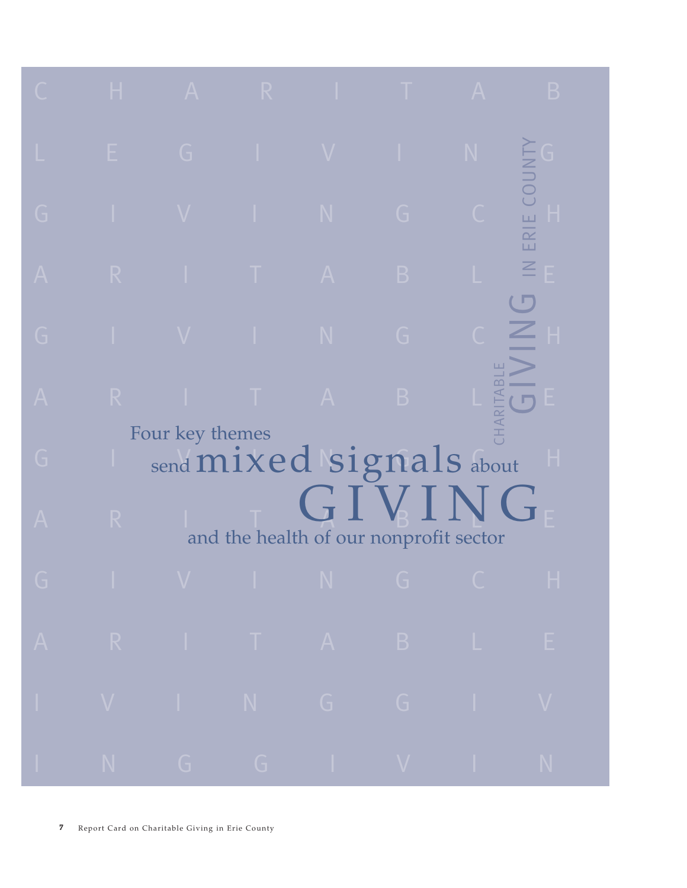| C              | Н. | $\mathsf{A}$    | $\mathsf{R}$ | ٠            | т                                                                                                               | $\mathsf{A}$ | B                            |
|----------------|----|-----------------|--------------|--------------|-----------------------------------------------------------------------------------------------------------------|--------------|------------------------------|
| L              | Е  | G               | ٠            | $\mathbf V$  | T                                                                                                               | N            |                              |
| G              |    | $\mathbf V$     | T            | N            | G                                                                                                               | $\Gamma$     | ERIE COUNTY<br>н             |
| $\mathsf{A}$   | R  | ı               | T            | $\mathsf{A}$ | $\mathsf B$                                                                                                     | L            | $\leq$<br>E<br><b>T</b>      |
| G              |    | $\mathbf V$     | T            | N            | G                                                                                                               |              | Н                            |
| $\overline{A}$ | R  | г               | T            | $\mathsf{A}$ | $\mathsf{B}$                                                                                                    | CHARITABLE   | Е<br>$\overline{\mathbf{C}}$ |
| G              |    | Four key themes |              |              | send mixed signals about                                                                                        |              | Н                            |
| A              | R  |                 |              |              | GIVING<br>and the health of our nonprofit sector                                                                |              |                              |
| $\overline{G}$ |    |                 |              |              | in the set of the set of the set of the set of the set of the set of the set of the set of the set of the set o |              | H                            |
|                |    |                 |              |              | A R I T A B L E                                                                                                 |              |                              |
| H.             |    |                 |              |              | V I N G G I V                                                                                                   |              |                              |
| T,             | N  |                 |              |              | GGGIVI                                                                                                          |              | N                            |

*7 Report Card on Charitable Giving in Erie County*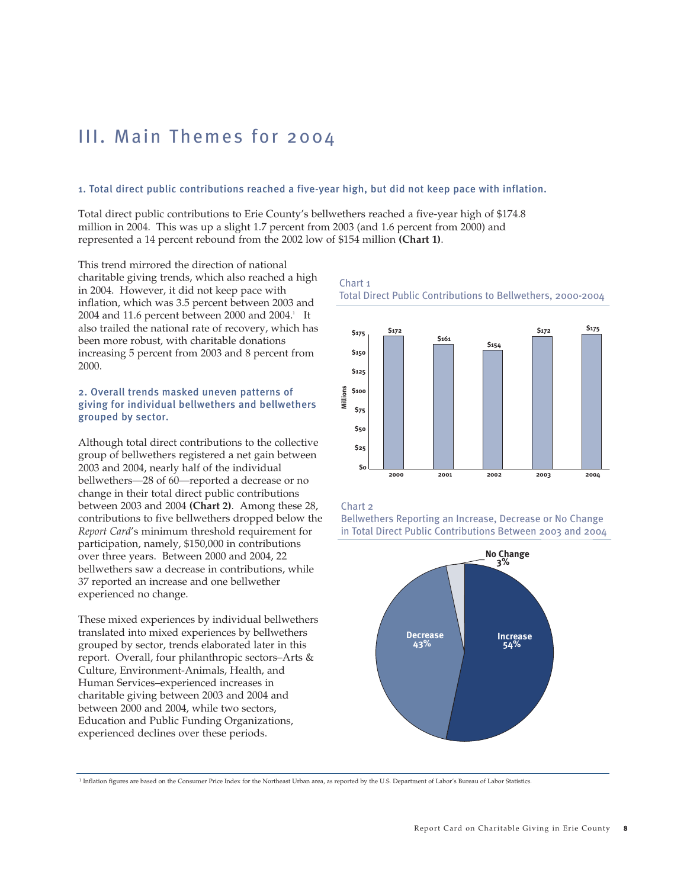## III. Main Themes for 2004

#### 1. Total direct public contributions reached a five-year high, but did not keep pace with inflation.

*Total direct public contributions to Erie County's bellwethers reached a five-year high of \$174.8 million in 2004. This was up a slight 1.7 percent from 2003 (and 1.6 percent from 2000) and represented a 14 percent rebound from the 2002 low of \$154 million (Chart 1).* 

*This trend mirrored the direction of national charitable giving trends, which also reached a high in 2004. However, it did not keep pace with inflation, which was 3.5 percent between 2003 and 2004 and 11.6 percent between 2000 and 2004.1 It also trailed the national rate of recovery, which has been more robust, with charitable donations increasing 5 percent from 2003 and 8 percent from 2000.* 

#### 2. Overall trends masked uneven patterns of giving for individual bellwethers and bellwethers grouped by sector.

*Although total direct contributions to the collective group of bellwethers registered a net gain between 2003 and 2004, nearly half of the individual bellwethers—28 of 60—reported a decrease or no change in their total direct public contributions between 2003 and 2004 (Chart 2). Among these 28, contributions to five bellwethers dropped below the Report Card's minimum threshold requirement for participation, namely, \$150,000 in contributions over three years. Between 2000 and 2004, 22 bellwethers saw a decrease in contributions, while 37 reported an increase and one bellwether experienced no change.* 

*These mixed experiences by individual bellwethers translated into mixed experiences by bellwethers grouped by sector, trends elaborated later in this report. Overall, four philanthropic sectors–Arts & Culture, Environment-Animals, Health, and Human Services–experienced increases in charitable giving between 2003 and 2004 and between 2000 and 2004, while two sectors, Education and Public Funding Organizations, experienced declines over these periods.* 

Chart 1 Total Direct Public Contributions to Bellwethers, 2000-2004



#### Chart 2

Bellwethers Reporting an Increase, Decrease or No Change in Total Direct Public Contributions Between 2003 and 2004



<sup>1</sup> Inflation figures are based on the Consumer Price Index for the Northeast Urban area, as reported by the U.S. Department of Labor's Bureau of Labor Statistics.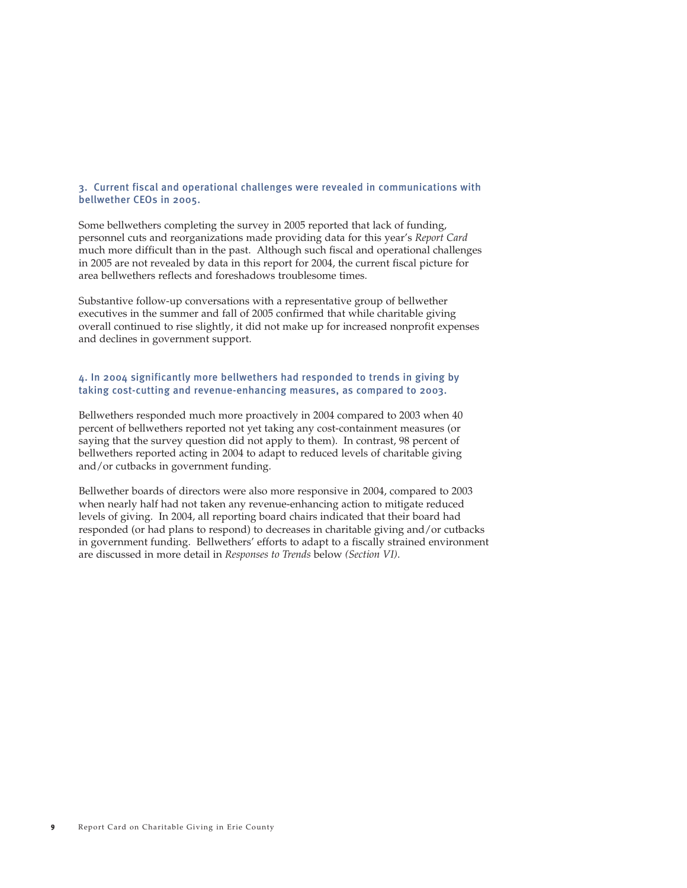#### 3. Current fiscal and operational challenges were revealed in communications with bellwether CEOs in 2005.

*Some bellwethers completing the survey in 2005 reported that lack of funding, personnel cuts and reorganizations made providing data for this year's Report Card much more difficult than in the past. Although such fiscal and operational challenges in 2005 are not revealed by data in this report for 2004, the current fiscal picture for area bellwethers reflects and foreshadows troublesome times.*

*Substantive follow-up conversations with a representative group of bellwether executives in the summer and fall of 2005 confirmed that while charitable giving overall continued to rise slightly, it did not make up for increased nonprofit expenses and declines in government support.* 

#### 4. In 2004 significantly more bellwethers had responded to trends in giving by taking cost-cutting and revenue-enhancing measures, as compared to 2003.

*Bellwethers responded much more proactively in 2004 compared to 2003 when 40 percent of bellwethers reported not yet taking any cost-containment measures (or saying that the survey question did not apply to them). In contrast, 98 percent of bellwethers reported acting in 2004 to adapt to reduced levels of charitable giving and/or cutbacks in government funding.* 

*Bellwether boards of directors were also more responsive in 2004, compared to 2003 when nearly half had not taken any revenue-enhancing action to mitigate reduced levels of giving. In 2004, all reporting board chairs indicated that their board had responded (or had plans to respond) to decreases in charitable giving and/or cutbacks in government funding. Bellwethers' efforts to adapt to a fiscally strained environment are discussed in more detail in Responses to Trends below (Section VI).*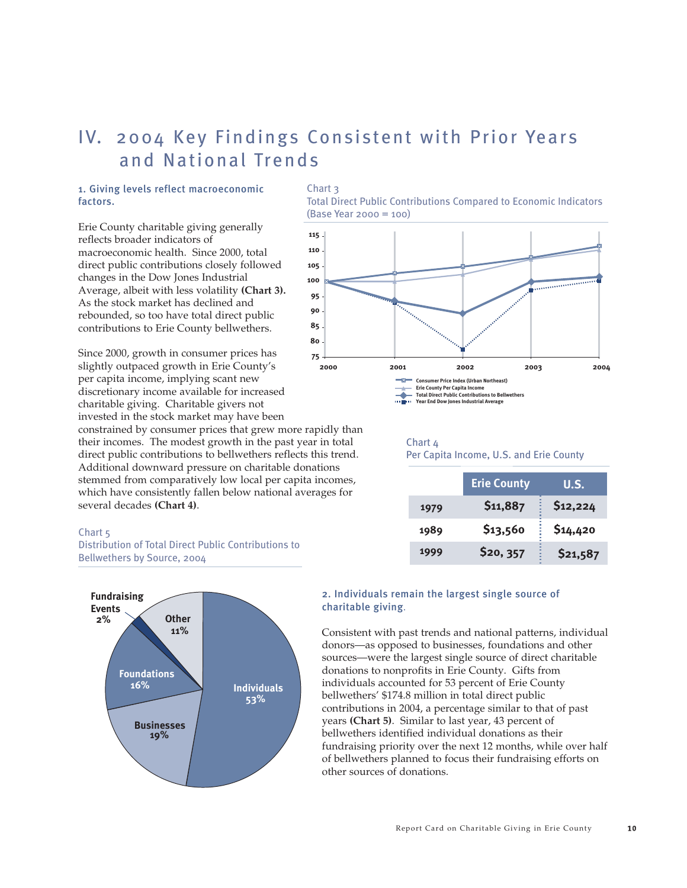## IV. 2004 Key Findings Consistent with Prior Years and National Trends

#### 1. Giving levels reflect macroeconomic factors.

*Erie County charitable giving generally reflects broader indicators of macroeconomic health. Since 2000, total direct public contributions closely followed changes in the Dow Jones Industrial Average, albeit with less volatility (Chart 3). As the stock market has declined and rebounded, so too have total direct public contributions to Erie County bellwethers.* 

*Since 2000, growth in consumer prices has slightly outpaced growth in Erie County's per capita income, implying scant new discretionary income available for increased charitable giving. Charitable givers not invested in the stock market may have been constrained by consumer prices that grew more rapidly than their incomes. The modest growth in the past year in total direct public contributions to bellwethers reflects this trend. Additional downward pressure on charitable donations stemmed from comparatively low local per capita incomes, which have consistently fallen below national averages for several decades (Chart 4).* **75**

#### Chart 5

Distribution of Total Direct Public Contributions to Bellwethers by Source, 2004



#### Chart 3

Total Direct Public Contributions Compared to Economic Indicators (Base Year 2000 = 100)



#### Chart 4

Per Capita Income, U.S. and Erie County

|      | <b>Erie County</b> | <b>U.S.</b> |
|------|--------------------|-------------|
| 1979 | \$11,887           | \$12,224    |
| 1989 | \$13,560           | \$14,420    |
| 1999 | \$20, 357          | \$21,587    |

#### 2. Individuals remain the largest single source of charitable giving*.*

*Consistent with past trends and national patterns, individual donors—as opposed to businesses, foundations and other sources—were the largest single source of direct charitable donations to nonprofits in Erie County. Gifts from individuals accounted for 53 percent of Erie County bellwethers' \$174.8 million in total direct public contributions in 2004, a percentage similar to that of past years (Chart 5). Similar to last year, 43 percent of bellwethers identified individual donations as their fundraising priority over the next 12 months, while over half of bellwethers planned to focus their fundraising efforts on other sources of donations.*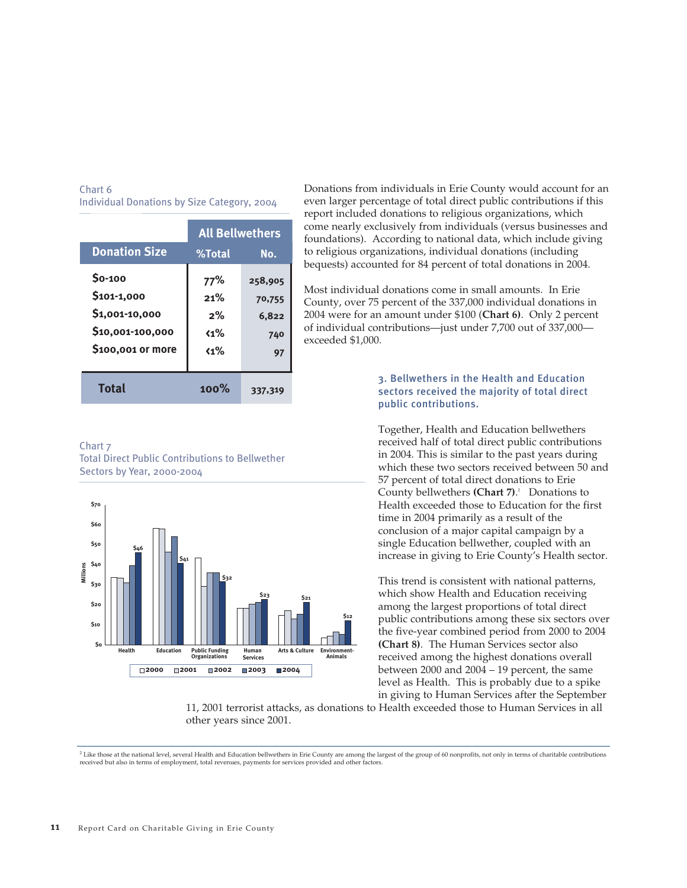|                      | <b>All Bellwethers</b> |         |  |
|----------------------|------------------------|---------|--|
| <b>Donation Size</b> | %Total                 | No.     |  |
| \$0-100              | 77%                    | 258,905 |  |
| \$101-1,000          | 21%                    | 70,755  |  |
| \$1,001-10,000       | 2%                     | 6,822   |  |
| \$10,001-100,000     | $\langle 1\%$          | 740     |  |
| \$100,001 or more    | $\langle 1\%$          | 97      |  |
|                      |                        |         |  |
| <b>Total</b>         | $100\%$                | 337,319 |  |

#### Chart 6 Individual Donations by Size Category, 2004

#### Chart 7

Total Direct Public Contributions to Bellwether Sectors by Year, 2000-2004



*Donations from individuals in Erie County would account for an even larger percentage of total direct public contributions if this report included donations to religious organizations, which come nearly exclusively from individuals (versus businesses and foundations). According to national data, which include giving to religious organizations, individual donations (including bequests) accounted for 84 percent of total donations in 2004.*

*Most individual donations come in small amounts. In Erie County, over 75 percent of the 337,000 individual donations in 2004 were for an amount under \$100 (Chart 6). Only 2 percent of individual contributions—just under 7,700 out of 337,000 exceeded \$1,000.* 

#### 3. Bellwethers in the Health and Education sectors received the majority of total direct public contributions.

*Together, Health and Education bellwethers received half of total direct public contributions in 2004. This is similar to the past years during which these two sectors received between 50 and 57 percent of total direct donations to Erie County bellwethers (Chart 7). 2 Donations to Health exceeded those to Education for the first time in 2004 primarily as a result of the conclusion of a major capital campaign by a single Education bellwether, coupled with an increase in giving to Erie County's Health sector.* 

*This trend is consistent with national patterns, which show Health and Education receiving among the largest proportions of total direct public contributions among these six sectors over the five-year combined period from 2000 to 2004 (Chart 8). The Human Services sector also received among the highest donations overall between 2000 and 2004 – 19 percent, the same level as Health. This is probably due to a spike in giving to Human Services after the September*

*11, 2001 terrorist attacks, as donations to Health exceeded those to Human Services in all other years since 2001.* 

<sup>&</sup>lt;sup>2</sup> Like those at the national level, several Health and Education bellwethers in Erie County are among the largest of the group of 60 nonprofits, not only in terms of charitable contributions *received but also in terms of employment, total revenues, payments for services provided and other factors.*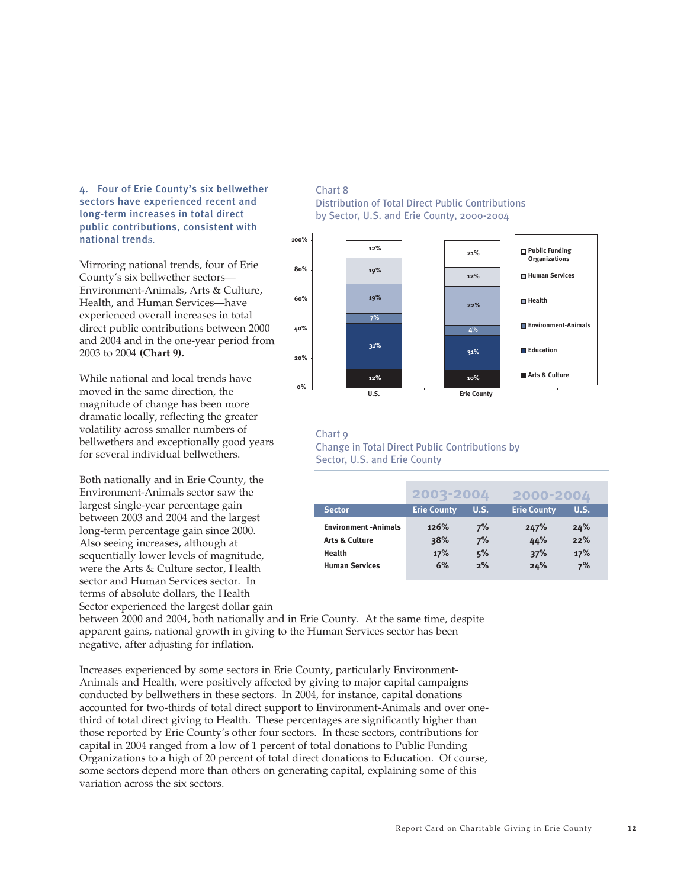4. Four of Erie County's six bellwether sectors have experienced recent and long-term increases in total direct public contributions, consistent with national trend*s.* 

*Mirroring national trends, four of Erie County's six bellwether sectors— Environment-Animals, Arts & Culture, Health, and Human Services—have experienced overall increases in total direct public contributions between 2000 and 2004 and in the one-year period from 2003 to 2004 (Chart 9).*

*While national and local trends have moved in the same direction, the magnitude of change has been more dramatic locally, reflecting the greater volatility across smaller numbers of bellwethers and exceptionally good years for several individual bellwethers.* 

*Both nationally and in Erie County, the Environment-Animals sector saw the largest single-year percentage gain between 2003 and 2004 and the largest long-term percentage gain since 2000. Also seeing increases, although at sequentially lower levels of magnitude, were the Arts & Culture sector, Health sector and Human Services sector. In terms of absolute dollars, the Health Sector experienced the largest dollar gain*

#### Chart 8 Distribution of Total Direct Public Contributions by Sector, U.S. and Erie County, 2000-2004



#### Chart 9 Change in Total Direct Public Contributions by Sector, U.S. and Erie County

|                                                          | 2003-2004          |          | 2000-2004          |            |  |
|----------------------------------------------------------|--------------------|----------|--------------------|------------|--|
| <b>Sector</b>                                            | <b>Erie County</b> | U.S.     | <b>Erie County</b> | U.S.       |  |
| <b>Environment -Animals</b><br><b>Arts &amp; Culture</b> | 126%<br>38%        | 7%<br>7% | 247%<br>44%        | 24%<br>22% |  |
| Health                                                   | 17%                | 5%       | 37%                | 17%        |  |
| <b>Human Services</b>                                    | 6%                 | 2%       | 24%                | 7%         |  |

*between 2000 and 2004, both nationally and in Erie County. At the same time, despite apparent gains, national growth in giving to the Human Services sector has been negative, after adjusting for inflation.* 

*Increases experienced by some sectors in Erie County, particularly Environment-Animals and Health, were positively affected by giving to major capital campaigns conducted by bellwethers in these sectors. In 2004, for instance, capital donations accounted for two-thirds of total direct support to Environment-Animals and over onethird of total direct giving to Health. These percentages are significantly higher than those reported by Erie County's other four sectors. In these sectors, contributions for capital in 2004 ranged from a low of 1 percent of total donations to Public Funding Organizations to a high of 20 percent of total direct donations to Education. Of course, some sectors depend more than others on generating capital, explaining some of this variation across the six sectors.*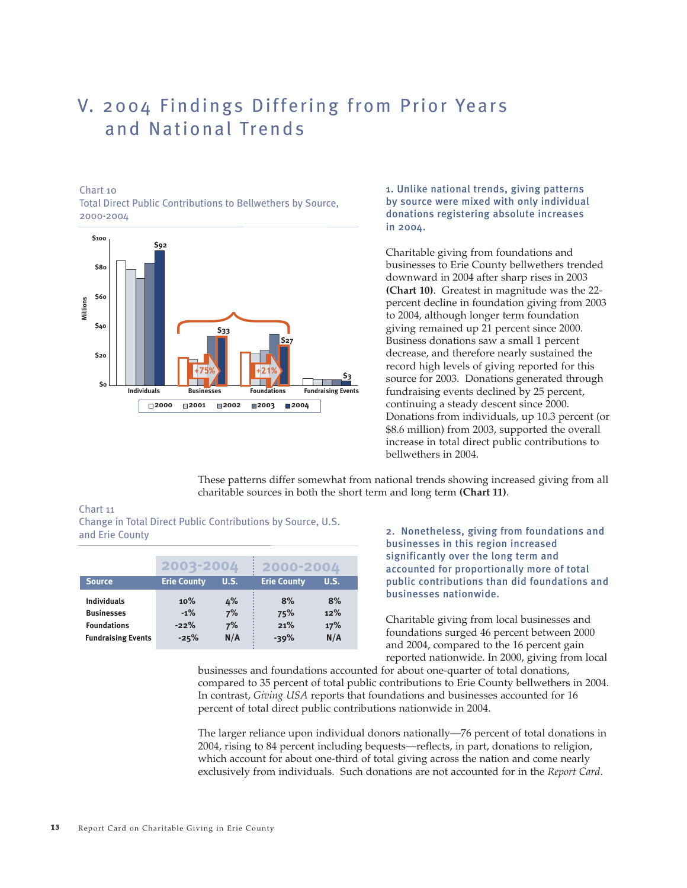## V. 2004 Findings Differing from Prior Years and National Trends

#### Chart 10

Total Direct Public Contributions to Bellwethers by Source, 2000-2004



1. Unlike national trends, giving patterns by source were mixed with only individual donations registering absolute increases in 2004.

*Charitable giving from foundations and businesses to Erie County bellwethers trended downward in 2004 after sharp rises in 2003 (Chart 10). Greatest in magnitude was the 22 percent decline in foundation giving from 2003 to 2004, although longer term foundation giving remained up 21 percent since 2000. Business donations saw a small 1 percent decrease, and therefore nearly sustained the record high levels of giving reported for this source for 2003. Donations generated through fundraising events declined by 25 percent, continuing a steady descent since 2000. Donations from individuals, up 10.3 percent (or \$8.6 million) from 2003, supported the overall increase in total direct public contributions to bellwethers in 2004.* 

*These patterns differ somewhat from national trends showing increased giving from all charitable sources in both the short term and long term (Chart 11).* 

#### Chart 11

Change in Total Direct Public Contributions by Source, U.S. and Erie County

|                                                               | 2003-2004               |                | 2000-2004          |                  |
|---------------------------------------------------------------|-------------------------|----------------|--------------------|------------------|
| <b>Source</b>                                                 | <b>Erie County</b>      | <b>U.S.</b>    | <b>Erie County</b> | U.S.             |
| <b>Individuals</b><br><b>Businesses</b><br><b>Foundations</b> | 10%<br>$-1\%$<br>$-22%$ | 4%<br>7%<br>7% | 8%<br>75%<br>21%   | 8%<br>12%<br>17% |
| <b>Fundraising Events</b>                                     | $-25%$                  | N/A            | $-39%$             | N/A              |

2. Nonetheless, giving from foundations and businesses in this region increased significantly over the long term and accounted for proportionally more of total public contributions than did foundations and businesses nationwide.

*Charitable giving from local businesses and foundations surged 46 percent between 2000 and 2004, compared to the 16 percent gain reported nationwide. In 2000, giving from local*

*businesses and foundations accounted for about one-quarter of total donations, compared to 35 percent of total public contributions to Erie County bellwethers in 2004. In contrast, Giving USA reports that foundations and businesses accounted for 16 percent of total direct public contributions nationwide in 2004.* 

*The larger reliance upon individual donors nationally—76 percent of total donations in 2004, rising to 84 percent including bequests—reflects, in part, donations to religion, which account for about one-third of total giving across the nation and come nearly exclusively from individuals. Such donations are not accounted for in the Report Card.*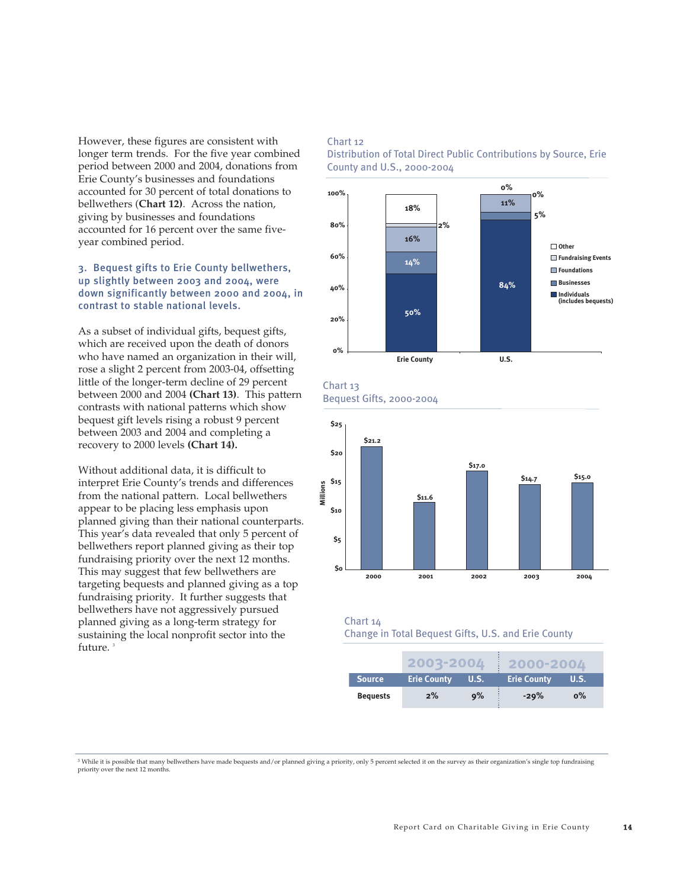*However, these figures are consistent with longer term trends. For the five year combined period between 2000 and 2004, donations from Erie County's businesses and foundations accounted for 30 percent of total donations to bellwethers (Chart 12). Across the nation, giving by businesses and foundations accounted for 16 percent over the same fiveyear combined period.* 

#### 3. Bequest gifts to Erie County bellwethers, up slightly between 2003 and 2004, were down significantly between 2000 and 2004, in contrast to stable national levels.

*As a subset of individual gifts, bequest gifts, which are received upon the death of donors who have named an organization in their will, rose a slight 2 percent from 2003-04, offsetting little of the longer-term decline of 29 percent between 2000 and 2004 (Chart 13). This pattern contrasts with national patterns which show bequest gift levels rising a robust 9 percent between 2003 and 2004 and completing a recovery to 2000 levels (Chart 14).*

*Without additional data, it is difficult to interpret Erie County's trends and differences from the national pattern. Local bellwethers appear to be placing less emphasis upon planned giving than their national counterparts. This year's data revealed that only 5 percent of bellwethers report planned giving as their top fundraising priority over the next 12 months. This may suggest that few bellwethers are targeting bequests and planned giving as a top fundraising priority. It further suggests that bellwethers have not aggressively pursued planned giving as a long-term strategy for sustaining the local nonprofit sector into the future. 3*

#### Chart 12

Distribution of Total Direct Public Contributions by Source, Erie County and U.S., 2000-2004



Chart 13 Bequest Gifts, 2000-2004



#### Chart 14

Change in Total Bequest Gifts, U.S. and Erie County

|                 | 2003-2004          |             | 2000-2004          |       |
|-----------------|--------------------|-------------|--------------------|-------|
| <b>Source</b>   | <b>Erie County</b> | <b>U.S.</b> | <b>Erie County</b> | U.S.  |
| <b>Bequests</b> | $2\%$              | 9%          | $-29%$             | $0\%$ |

*<sup>3</sup> While it is possible that many bellwethers have made bequests and/or planned giving a priority, only 5 percent selected it on the survey as their organization's single top fundraising priority over the next 12 months.*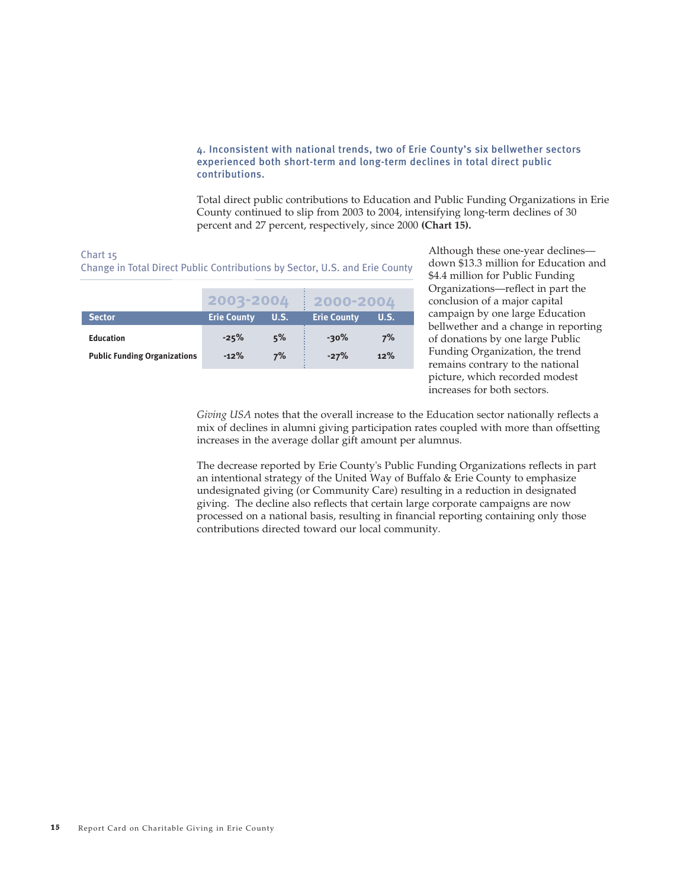#### 4. Inconsistent with national trends, two of Erie County's six bellwether sectors experienced both short-term and long-term declines in total direct public contributions.

*Total direct public contributions to Education and Public Funding Organizations in Erie County continued to slip from 2003 to 2004, intensifying long-term declines of 30 percent and 27 percent, respectively, since 2000 (Chart 15).*

#### Chart 15

Change in Total Direct Public Contributions by Sector, U.S. and Erie County

|                                                         | 2003-2004          |          | 2000-2004          |           |
|---------------------------------------------------------|--------------------|----------|--------------------|-----------|
| <b>Sector</b>                                           | <b>Erie County</b> | U.S.     | <b>Erie County</b> | U.S.      |
| <b>Education</b><br><b>Public Funding Organizations</b> | $-25%$<br>$-12%$   | 5%<br>7% | $-30\%$<br>$-27%$  | 7%<br>12% |

*Although these one-year declines down \$13.3 million for Education and \$4.4 million for Public Funding Organizations—reflect in part the conclusion of a major capital campaign by one large Education bellwether and a change in reporting of donations by one large Public Funding Organization, the trend remains contrary to the national picture, which recorded modest increases for both sectors.* 

*Giving USA notes that the overall increase to the Education sector nationally reflects a mix of declines in alumni giving participation rates coupled with more than offsetting increases in the average dollar gift amount per alumnus.* 

*The decrease reported by Erie County's Public Funding Organizations reflects in part an intentional strategy of the United Way of Buffalo & Erie County to emphasize undesignated giving (or Community Care) resulting in a reduction in designated giving. The decline also reflects that certain large corporate campaigns are now processed on a national basis, resulting in financial reporting containing only those contributions directed toward our local community.*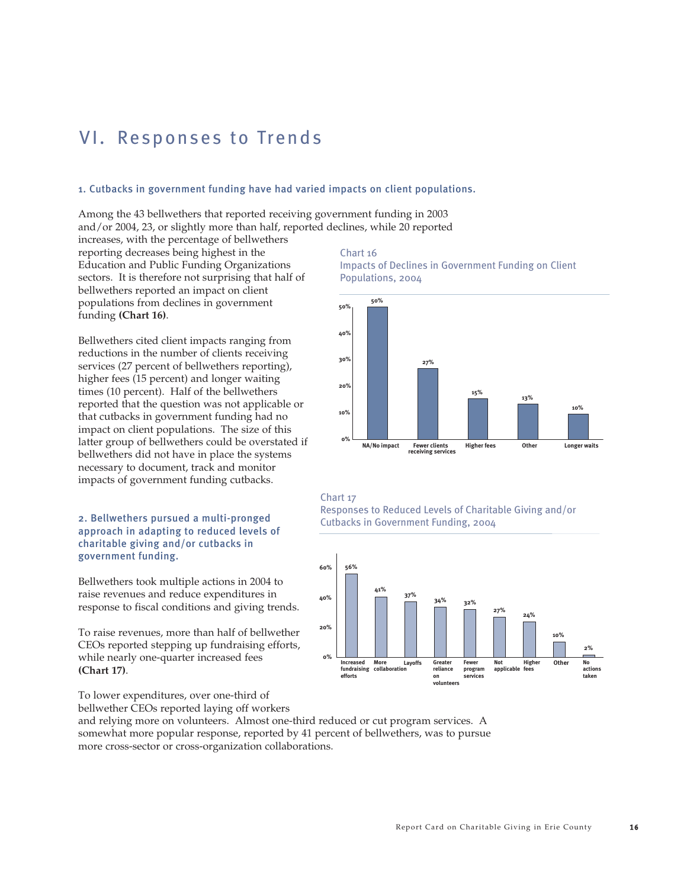## VI. Responses to Trends

#### 1. Cutbacks in government funding have had varied impacts on client populations.

*Among the 43 bellwethers that reported receiving government funding in 2003 and/or 2004, 23, or slightly more than half, reported declines, while 20 reported*

*increases, with the percentage of bellwethers reporting decreases being highest in the Education and Public Funding Organizations sectors. It is therefore not surprising that half of bellwethers reported an impact on client populations from declines in government funding (Chart 16).* 

*Bellwethers cited client impacts ranging from reductions in the number of clients receiving services (27 percent of bellwethers reporting), higher fees (15 percent) and longer waiting times (10 percent). Half of the bellwethers reported that the question was not applicable or that cutbacks in government funding had no impact on client populations. The size of this latter group of bellwethers could be overstated if bellwethers did not have in place the systems necessary to document, track and monitor impacts of government funding cutbacks.* 

#### 2. Bellwethers pursued a multi-pronged approach in adapting to reduced levels of charitable giving and/or cutbacks in government funding.

*Bellwethers took multiple actions in 2004 to raise revenues and reduce expenditures in response to fiscal conditions and giving trends.* 

*To raise revenues, more than half of bellwether CEOs reported stepping up fundraising efforts, while nearly one-quarter increased fees (Chart 17).* 

*To lower expenditures, over one-third of bellwether CEOs reported laying off workers*

*and relying more on volunteers. Almost one-third reduced or cut program services. A somewhat more popular response, reported by 41 percent of bellwethers, was to pursue more cross-sector or cross-organization collaborations.* 

#### Chart 16 Impacts of Declines in Government Funding on Client Populations, 2004



#### Chart 17

Responses to Reduced Levels of Charitable Giving and/or Cutbacks in Government Funding, 2004

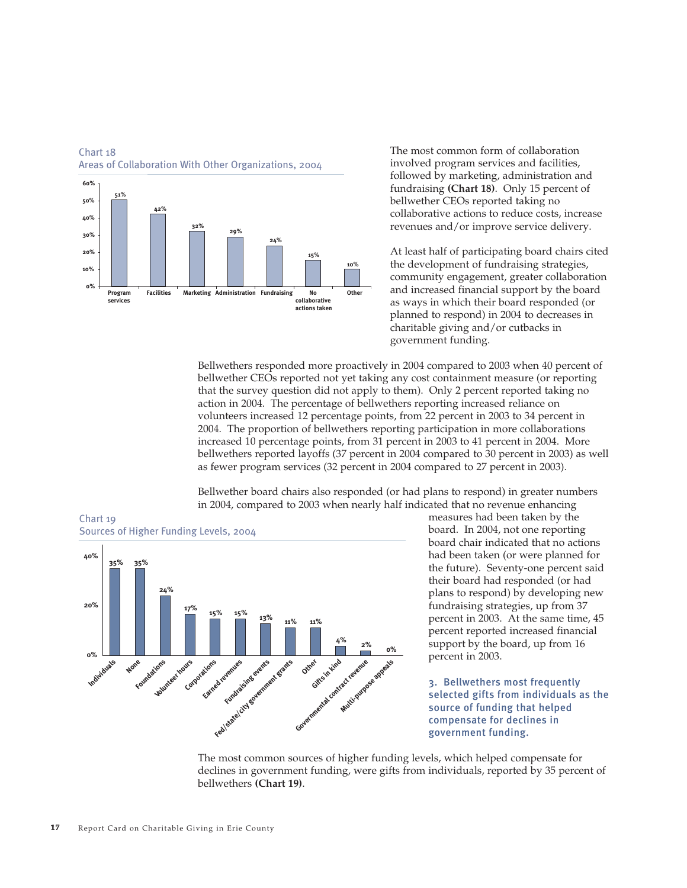

#### Chart 18 Areas of Collaboration With Other Organizations, 2004

*The most common form of collaboration involved program services and facilities, followed by marketing, administration and fundraising (Chart 18). Only 15 percent of bellwether CEOs reported taking no collaborative actions to reduce costs, increase revenues and/or improve service delivery.* 

*At least half of participating board chairs cited the development of fundraising strategies, community engagement, greater collaboration and increased financial support by the board as ways in which their board responded (or planned to respond) in 2004 to decreases in charitable giving and/or cutbacks in government funding.* 

*Bellwethers responded more proactively in 2004 compared to 2003 when 40 percent of bellwether CEOs reported not yet taking any cost containment measure (or reporting that the survey question did not apply to them). Only 2 percent reported taking no action in 2004. The percentage of bellwethers reporting increased reliance on volunteers increased 12 percentage points, from 22 percent in 2003 to 34 percent in 2004. The proportion of bellwethers reporting participation in more collaborations increased 10 percentage points, from 31 percent in 2003 to 41 percent in 2004. More bellwethers reported layoffs (37 percent in 2004 compared to 30 percent in 2003) as well as fewer program services (32 percent in 2004 compared to 27 percent in 2003).*

*Bellwether board chairs also responded (or had plans to respond) in greater numbers in 2004, compared to 2003 when nearly half indicated that no revenue enhancing*



*measures had been taken by the board. In 2004, not one reporting board chair indicated that no actions had been taken (or were planned for the future). Seventy-one percent said their board had responded (or had plans to respond) by developing new fundraising strategies, up from 37 percent in 2003. At the same time, 45 percent reported increased financial support by the board, up from 16 percent in 2003.* 

3. Bellwethers most frequently selected gifts from individuals as the source of funding that helped compensate for declines in government funding.

*The most common sources of higher funding levels, which helped compensate for declines in government funding, were gifts from individuals, reported by 35 percent of bellwethers (Chart 19).*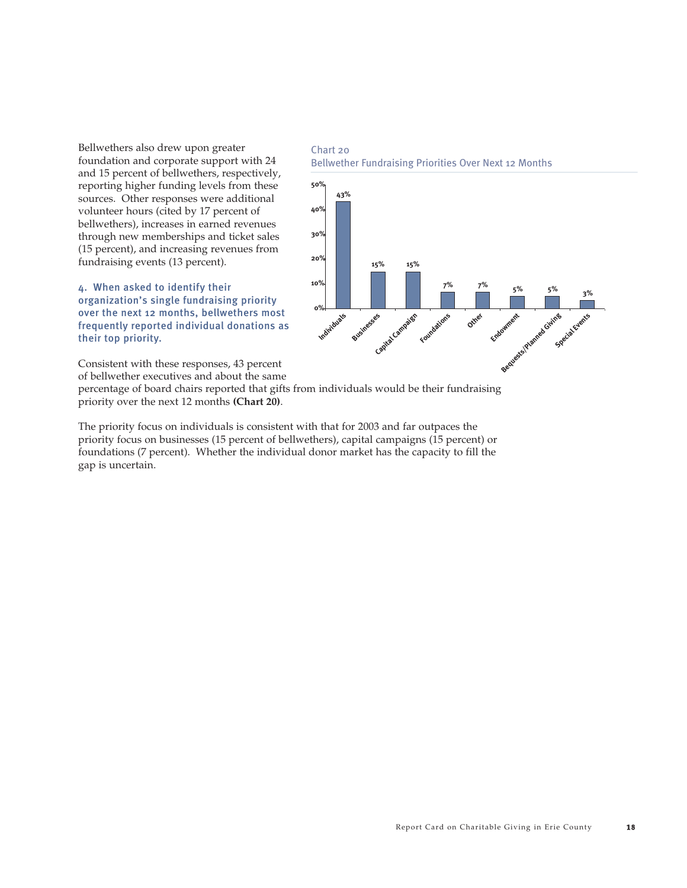*Bellwethers also drew upon greater foundation and corporate support with 24 and 15 percent of bellwethers, respectively, reporting higher funding levels from these sources. Other responses were additional volunteer hours (cited by 17 percent of bellwethers), increases in earned revenues through new memberships and ticket sales (15 percent), and increasing revenues from fundraising events (13 percent).* 

4. When asked to identify their organization's single fundraising priority over the next 12 months, bellwethers most frequently reported individual donations as their top priority.





*Consistent with these responses, 43 percent of bellwether executives and about the same*

*percentage of board chairs reported that gifts from individuals would be their fundraising priority over the next 12 months (Chart 20).* 

*The priority focus on individuals is consistent with that for 2003 and far outpaces the priority focus on businesses (15 percent of bellwethers), capital campaigns (15 percent) or foundations (7 percent). Whether the individual donor market has the capacity to fill the gap is uncertain.*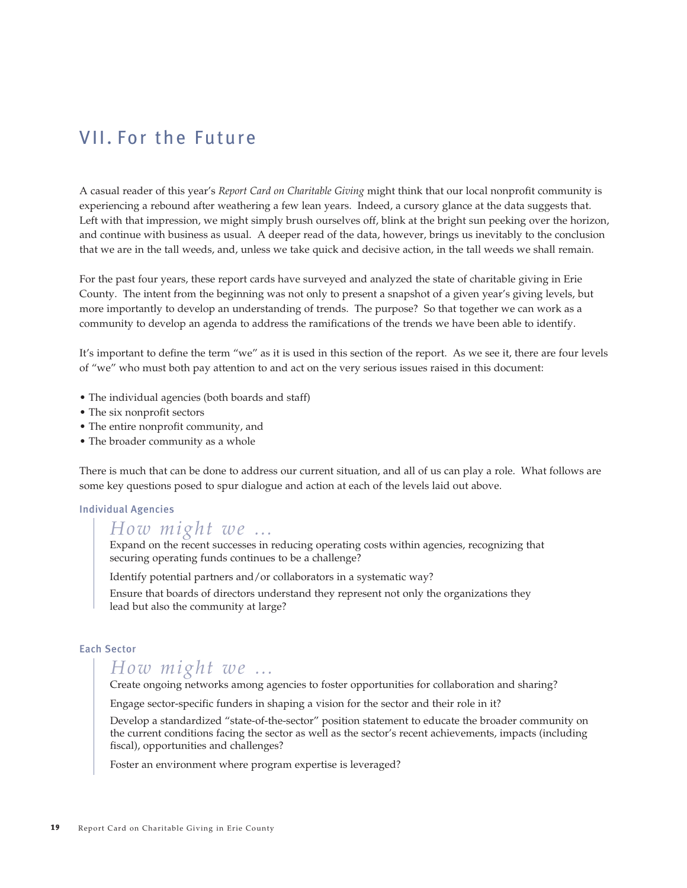## VII. For the Future

*A casual reader of this year's Report Card on Charitable Giving might think that our local nonprofit community is experiencing a rebound after weathering a few lean years. Indeed, a cursory glance at the data suggests that. Left with that impression, we might simply brush ourselves off, blink at the bright sun peeking over the horizon, and continue with business as usual. A deeper read of the data, however, brings us inevitably to the conclusion that we are in the tall weeds, and, unless we take quick and decisive action, in the tall weeds we shall remain.*

*For the past four years, these report cards have surveyed and analyzed the state of charitable giving in Erie County. The intent from the beginning was not only to present a snapshot of a given year's giving levels, but more importantly to develop an understanding of trends. The purpose? So that together we can work as a community to develop an agenda to address the ramifications of the trends we have been able to identify.* 

*It's important to define the term "we" as it is used in this section of the report. As we see it, there are four levels of "we" who must both pay attention to and act on the very serious issues raised in this document:*

- *The individual agencies (both boards and staff)*
- *The six nonprofit sectors*
- *The entire nonprofit community, and*
- *The broader community as a whole*

*There is much that can be done to address our current situation, and all of us can play a role. What follows are some key questions posed to spur dialogue and action at each of the levels laid out above.*

#### Individual Agencies

## *How might we …*

*Expand on the recent successes in reducing operating costs within agencies, recognizing that securing operating funds continues to be a challenge?*

*Identify potential partners and/or collaborators in a systematic way?*

*Ensure that boards of directors understand they represent not only the organizations they lead but also the community at large?*

#### Each Sector

## *How might we …*

*Create ongoing networks among agencies to foster opportunities for collaboration and sharing?*

*Engage sector-specific funders in shaping a vision for the sector and their role in it?*

*Develop a standardized "state-of-the-sector" position statement to educate the broader community on the current conditions facing the sector as well as the sector's recent achievements, impacts (including fiscal), opportunities and challenges?*

*Foster an environment where program expertise is leveraged?*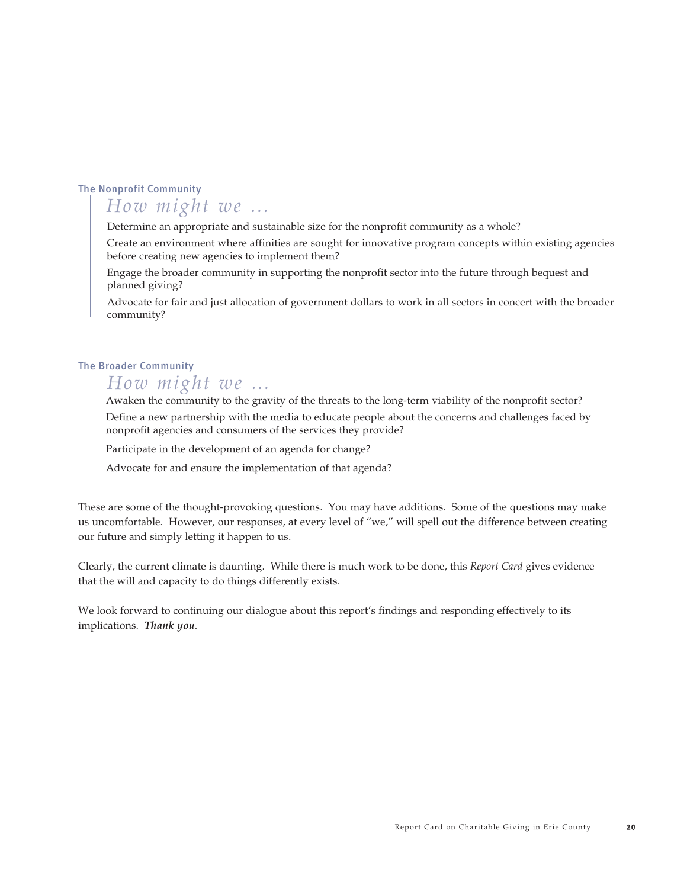#### The Nonprofit Community

## *How might we …*

*Determine an appropriate and sustainable size for the nonprofit community as a whole?*

*Create an environment where affinities are sought for innovative program concepts within existing agencies before creating new agencies to implement them?*

*Engage the broader community in supporting the nonprofit sector into the future through bequest and planned giving?*

*Advocate for fair and just allocation of government dollars to work in all sectors in concert with the broader community?*

#### The Broader Community

## *How might we …*

*Awaken the community to the gravity of the threats to the long-term viability of the nonprofit sector? Define a new partnership with the media to educate people about the concerns and challenges faced by nonprofit agencies and consumers of the services they provide?*

*Participate in the development of an agenda for change?*

*Advocate for and ensure the implementation of that agenda?*

*These are some of the thought-provoking questions. You may have additions. Some of the questions may make us uncomfortable. However, our responses, at every level of "we," will spell out the difference between creating our future and simply letting it happen to us.*

*Clearly, the current climate is daunting. While there is much work to be done, this Report Card gives evidence that the will and capacity to do things differently exists.* 

*We look forward to continuing our dialogue about this report's findings and responding effectively to its implications. Thank you.*